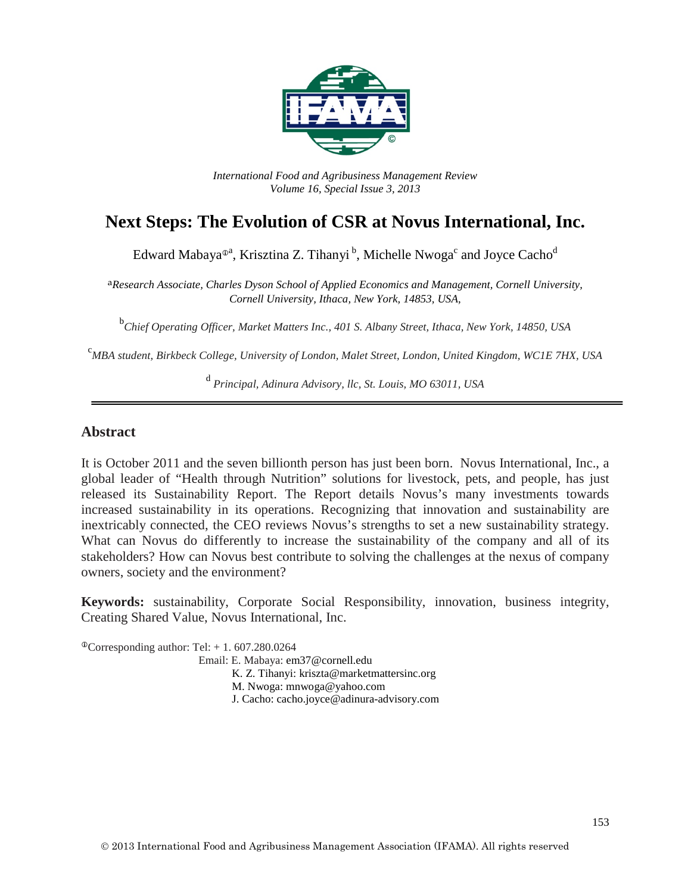

*International Food and Agribusiness Management Review Volume 16, Special Issue 3, 2013*

# **Next Steps: The Evolution of CSR at Novus International, Inc.**

Edward Mabaya®ª, Krisztina Z. Tihanyi  $^{\rm b}$ , Michelle Nwoga $^{\rm c}$  and Joyce Cacho $^{\rm d}$ 

a*Research Associate, Charles Dyson School of Applied Economics and Management, Cornell University, Cornell University, Ithaca, New York, 14853, USA,* 

b *Chief Operating Officer, Market Matters Inc., 401 S. Albany Street, Ithaca, New York, 14850, USA*

c *MBA student, Birkbeck College, University of London, Malet Street, London, United Kingdom, WC1E 7HX, USA*

<sup>d</sup> *Principal, Adinura Advisory, llc, St. Louis, MO 63011, USA*

### **Abstract**

It is October 2011 and the seven billionth person has just been born. Novus International, Inc., a global leader of "Health through Nutrition" solutions for livestock, pets, and people, has just released its Sustainability Report. The Report details Novus's many investments towards increased sustainability in its operations. Recognizing that innovation and sustainability are inextricably connected, the CEO reviews Novus's strengths to set a new sustainability strategy. What can Novus do differently to increase the sustainability of the company and all of its stakeholders? How can Novus best contribute to solving the challenges at the nexus of company owners, society and the environment?

**Keywords:** sustainability, Corporate Social Responsibility, innovation, business integrity, Creating Shared Value, Novus International, Inc.

 $^{\circ}$ Corresponding author: Tel: + 1.607.280.0264 Email: E. Mabaya: em37@cornell.edu K. Z. Tihanyi: kriszta@marketmattersinc.org M. Nwoga: mnwoga@yahoo.com J. Cacho: cacho.joyce@adinura-advisory.com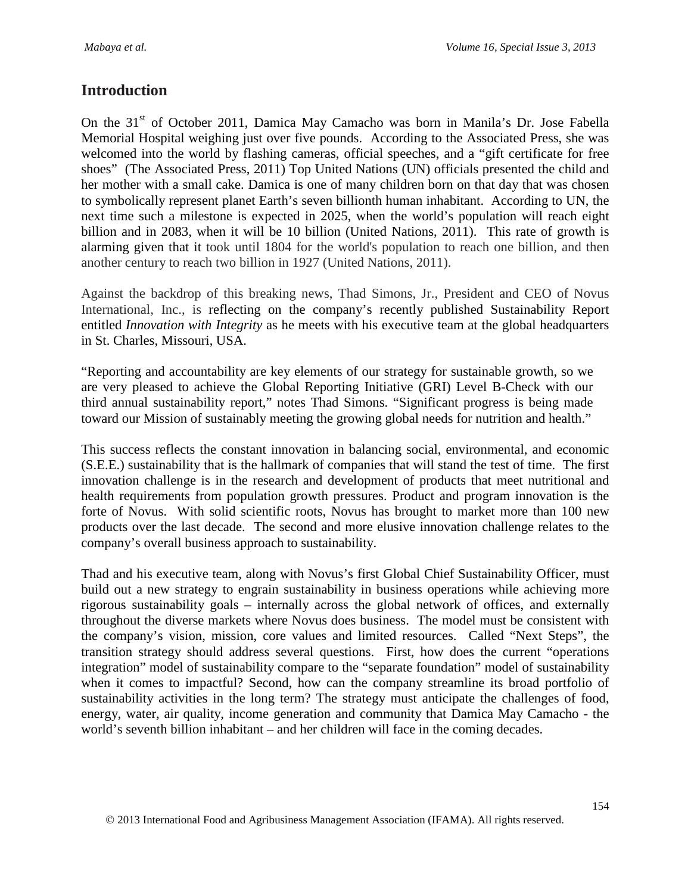## **Introduction**

On the 31<sup>st</sup> of October 2011, Damica May Camacho was born in Manila's Dr. Jose Fabella Memorial Hospital weighing just over five pounds. According to the Associated Press, she was welcomed into the world by flashing cameras, official speeches, and a "gift certificate for free shoes" (The Associated Press, 2011) Top United Nations (UN) officials presented the child and her mother with a small cake. Damica is one of many children born on that day that was chosen to symbolically represent planet Earth's seven billionth human inhabitant. According to UN, the next time such a milestone is expected in 2025, when the world's population will reach eight billion and in 2083, when it will be 10 billion (United Nations, 2011). This rate of growth is alarming given that it took until 1804 for the world's population to reach one billion, and then another century to reach two billion in 1927 (United Nations, 2011).

Against the backdrop of this breaking news, Thad Simons, Jr., President and CEO of Novus International, Inc., is reflecting on the company's recently published Sustainability Report entitled *Innovation with Integrity* as he meets with his executive team at the global headquarters in St. Charles, Missouri, USA.

"Reporting and accountability are key elements of our strategy for sustainable growth, so we are very pleased to achieve the Global Reporting Initiative (GRI) Level B-Check with our third annual sustainability report," notes Thad Simons. "Significant progress is being made toward our Mission of sustainably meeting the growing global needs for nutrition and health."

This success reflects the constant innovation in balancing social, environmental, and economic (S.E.E.) sustainability that is the hallmark of companies that will stand the test of time. The first innovation challenge is in the research and development of products that meet nutritional and health requirements from population growth pressures. Product and program innovation is the forte of Novus. With solid scientific roots, Novus has brought to market more than 100 new products over the last decade. The second and more elusive innovation challenge relates to the company's overall business approach to sustainability.

Thad and his executive team, along with Novus's first Global Chief Sustainability Officer, must build out a new strategy to engrain sustainability in business operations while achieving more rigorous sustainability goals – internally across the global network of offices, and externally throughout the diverse markets where Novus does business. The model must be consistent with the company's vision, mission, core values and limited resources. Called "Next Steps", the transition strategy should address several questions. First, how does the current "operations integration" model of sustainability compare to the "separate foundation" model of sustainability when it comes to impactful? Second, how can the company streamline its broad portfolio of sustainability activities in the long term? The strategy must anticipate the challenges of food, energy, water, air quality, income generation and community that Damica May Camacho - the world's seventh billion inhabitant – and her children will face in the coming decades.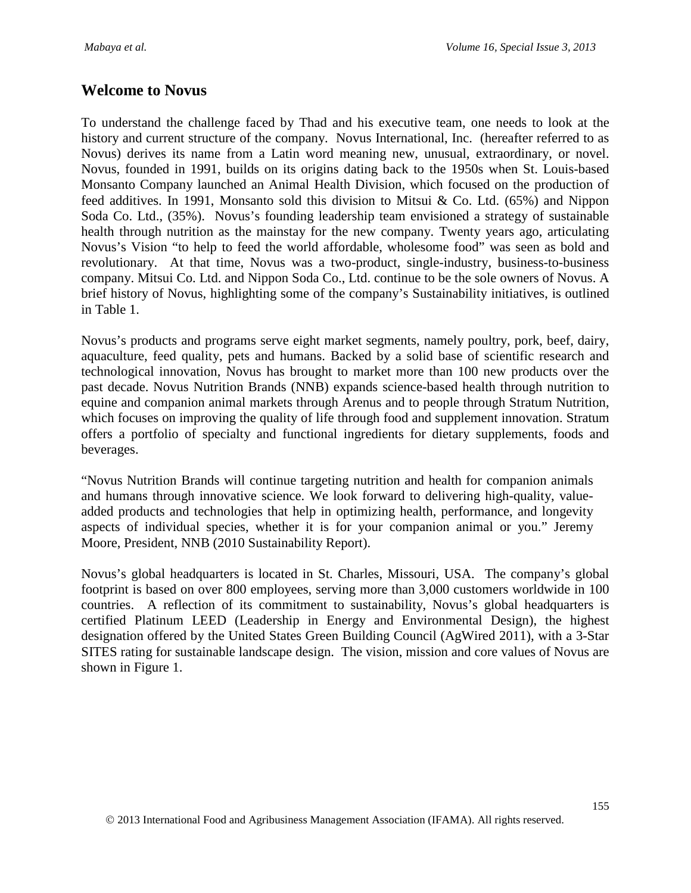## **Welcome to Novus**

To understand the challenge faced by Thad and his executive team, one needs to look at the history and current structure of the company. Novus International, Inc. (hereafter referred to as Novus) derives its name from a Latin word meaning new, unusual, extraordinary, or novel. Novus, founded in 1991, builds on its origins dating back to the 1950s when St. Louis-based Monsanto Company launched an Animal Health Division, which focused on the production of feed additives. In 1991, Monsanto sold this division to Mitsui & Co. Ltd. (65%) and Nippon Soda Co. Ltd., (35%). Novus's founding leadership team envisioned a strategy of sustainable health through nutrition as the mainstay for the new company. Twenty years ago, articulating Novus's Vision "to help to feed the world affordable, wholesome food" was seen as bold and revolutionary. At that time, Novus was a two-product, single-industry, business-to-business company. Mitsui Co. Ltd. and Nippon Soda Co., Ltd. continue to be the sole owners of Novus. A brief history of Novus, highlighting some of the company's Sustainability initiatives, is outlined in Table 1.

Novus's products and programs serve eight market segments, namely poultry, pork, beef, dairy, aquaculture, feed quality, pets and humans. Backed by a solid base of scientific research and technological innovation, Novus has brought to market more than 100 new products over the past decade. Novus Nutrition Brands (NNB) expands science-based health through nutrition to equine and companion animal markets through Arenus and to people through Stratum Nutrition, which focuses on improving the quality of life through food and supplement innovation. Stratum offers a portfolio of specialty and functional ingredients for dietary supplements, foods and beverages.

"Novus Nutrition Brands will continue targeting nutrition and health for companion animals and humans through innovative science. We look forward to delivering high-quality, valueadded products and technologies that help in optimizing health, performance, and longevity aspects of individual species, whether it is for your companion animal or you." Jeremy Moore, President, NNB (2010 Sustainability Report).

Novus's global headquarters is located in St. Charles, Missouri, USA. The company's global footprint is based on over 800 employees, serving more than 3,000 customers worldwide in 100 countries. A reflection of its commitment to sustainability, Novus's global headquarters is certified Platinum LEED (Leadership in Energy and Environmental Design), the highest designation offered by the United States Green Building Council (AgWired 2011), with a 3-Star SITES rating for sustainable landscape design. The vision, mission and core values of Novus are shown in Figure 1.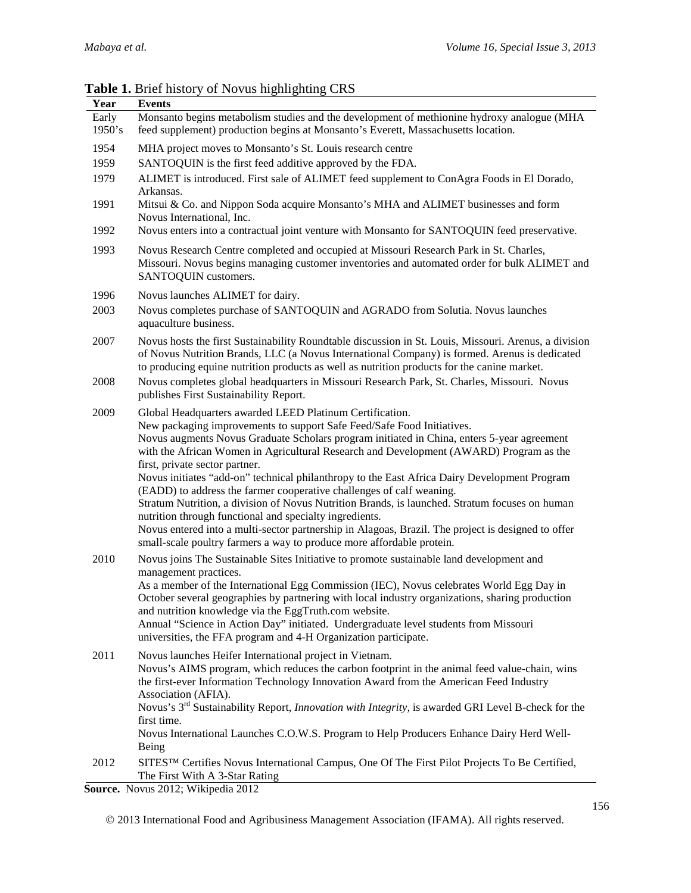|                 | <b>rapic 1.</b> Drief mstory of 110 rus inginighting CKD                                                                                                                                                                                                                                                                                                                                                                                                     |
|-----------------|--------------------------------------------------------------------------------------------------------------------------------------------------------------------------------------------------------------------------------------------------------------------------------------------------------------------------------------------------------------------------------------------------------------------------------------------------------------|
| Year            | Events                                                                                                                                                                                                                                                                                                                                                                                                                                                       |
| Early<br>1950's | Monsanto begins metabolism studies and the development of methionine hydroxy analogue (MHA<br>feed supplement) production begins at Monsanto's Everett, Massachusetts location.                                                                                                                                                                                                                                                                              |
| 1954            | MHA project moves to Monsanto's St. Louis research centre                                                                                                                                                                                                                                                                                                                                                                                                    |
| 1959            | SANTOQUIN is the first feed additive approved by the FDA.                                                                                                                                                                                                                                                                                                                                                                                                    |
| 1979            | ALIMET is introduced. First sale of ALIMET feed supplement to ConAgra Foods in El Dorado,<br>Arkansas.                                                                                                                                                                                                                                                                                                                                                       |
| 1991            | Mitsui & Co. and Nippon Soda acquire Monsanto's MHA and ALIMET businesses and form<br>Novus International, Inc.                                                                                                                                                                                                                                                                                                                                              |
| 1992            | Novus enters into a contractual joint venture with Monsanto for SANTOQUIN feed preservative.                                                                                                                                                                                                                                                                                                                                                                 |
| 1993            | Novus Research Centre completed and occupied at Missouri Research Park in St. Charles,<br>Missouri. Novus begins managing customer inventories and automated order for bulk ALIMET and<br>SANTOQUIN customers.                                                                                                                                                                                                                                               |
| 1996            | Novus launches ALIMET for dairy.                                                                                                                                                                                                                                                                                                                                                                                                                             |
| 2003            | Novus completes purchase of SANTOQUIN and AGRADO from Solutia. Novus launches<br>aquaculture business.                                                                                                                                                                                                                                                                                                                                                       |
| 2007            | Novus hosts the first Sustainability Roundtable discussion in St. Louis, Missouri. Arenus, a division<br>of Novus Nutrition Brands, LLC (a Novus International Company) is formed. Arenus is dedicated<br>to producing equine nutrition products as well as nutrition products for the canine market.                                                                                                                                                        |
| 2008            | Novus completes global headquarters in Missouri Research Park, St. Charles, Missouri. Novus<br>publishes First Sustainability Report.                                                                                                                                                                                                                                                                                                                        |
| 2009            | Global Headquarters awarded LEED Platinum Certification.<br>New packaging improvements to support Safe Feed/Safe Food Initiatives.<br>Novus augments Novus Graduate Scholars program initiated in China, enters 5-year agreement<br>with the African Women in Agricultural Research and Development (AWARD) Program as the<br>first, private sector partner.<br>Novus initiates "add-on" technical philanthropy to the East Africa Dairy Development Program |
|                 | (EADD) to address the farmer cooperative challenges of calf weaning.<br>Stratum Nutrition, a division of Novus Nutrition Brands, is launched. Stratum focuses on human<br>nutrition through functional and specialty ingredients.<br>Novus entered into a multi-sector partnership in Alagoas, Brazil. The project is designed to offer                                                                                                                      |
|                 | small-scale poultry farmers a way to produce more affordable protein.                                                                                                                                                                                                                                                                                                                                                                                        |
| 2010            | Novus joins The Sustainable Sites Initiative to promote sustainable land development and<br>management practices.                                                                                                                                                                                                                                                                                                                                            |
|                 | As a member of the International Egg Commission (IEC), Novus celebrates World Egg Day in<br>October several geographies by partnering with local industry organizations, sharing production<br>and nutrition knowledge via the EggTruth.com website.                                                                                                                                                                                                         |
|                 | Annual "Science in Action Day" initiated. Undergraduate level students from Missouri<br>universities, the FFA program and 4-H Organization participate.                                                                                                                                                                                                                                                                                                      |
| 2011            | Novus launches Heifer International project in Vietnam.<br>Novus's AIMS program, which reduces the carbon footprint in the animal feed value-chain, wins<br>the first-ever Information Technology Innovation Award from the American Feed Industry<br>Association (AFIA).                                                                                                                                                                                    |
|                 | Novus's 3 <sup>rd</sup> Sustainability Report, <i>Innovation with Integrity</i> , is awarded GRI Level B-check for the<br>first time.                                                                                                                                                                                                                                                                                                                        |
|                 | Novus International Launches C.O.W.S. Program to Help Producers Enhance Dairy Herd Well-<br>Being                                                                                                                                                                                                                                                                                                                                                            |
| 2012            | SITES <sup>TM</sup> Certifies Novus International Campus, One Of The First Pilot Projects To Be Certified,<br>The First With A 3-Star Rating                                                                                                                                                                                                                                                                                                                 |

**Table 1.** Brief history of Novus highlighting CRS

**Source.** Novus 2012; Wikipedia 2012

2013 International Food and Agribusiness Management Association (IFAMA). All rights reserved.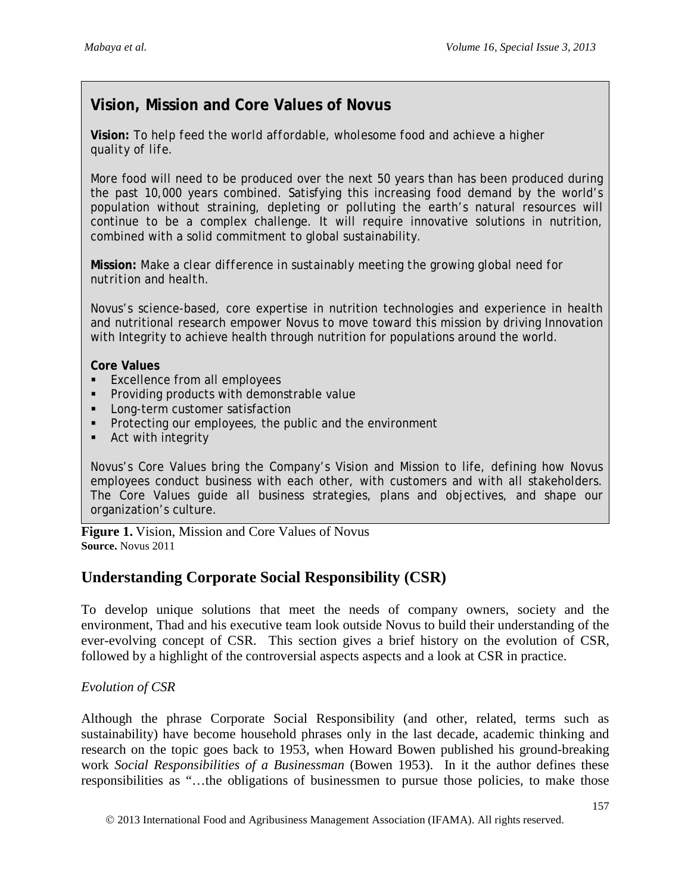# **Vision, Mission and Core Values of Novus**

**Vision:** *To help feed the world affordable, wholesome food and achieve a higher quality of life.*

More food will need to be produced over the next 50 years than has been produced during the past 10,000 years combined. Satisfying this increasing food demand by the world's population without straining, depleting or polluting the earth's natural resources will continue to be a complex challenge. It will require innovative solutions in nutrition, combined with a solid commitment to global sustainability.

**Mission:** *Make a clear difference in sustainably meeting the growing global need for nutrition and health.*

Novus's science-based, core expertise in nutrition technologies and experience in health and nutritional research empower Novus to move toward this mission by driving Innovation with Integrity to achieve health through nutrition for populations around the world.

### **Core Values**

- **Excellence from all employees**
- **Providing products with demonstrable value**
- **Long-term customer satisfaction**
- **Protecting our employees, the public and the environment**
- **Act with integrity**

Novus's Core Values bring the Company's Vision and Mission to life, defining how Novus employees conduct business with each other, with customers and with all stakeholders. The Core Values guide all business strategies, plans and objectives, and shape our organization's culture.

**Figure 1.** Vision, Mission and Core Values of Novus **Source.** Novus 2011

## **Understanding Corporate Social Responsibility (CSR)**

To develop unique solutions that meet the needs of company owners, society and the environment, Thad and his executive team look outside Novus to build their understanding of the ever-evolving concept of CSR. This section gives a brief history on the evolution of CSR, followed by a highlight of the controversial aspects aspects and a look at CSR in practice.

### *Evolution of CSR*

Although the phrase Corporate Social Responsibility (and other, related, terms such as sustainability) have become household phrases only in the last decade, academic thinking and research on the topic goes back to 1953, when Howard Bowen published his ground-breaking work *Social Responsibilities of a Businessman* (Bowen 1953). In it the author defines these responsibilities as "…the obligations of businessmen to pursue those policies, to make those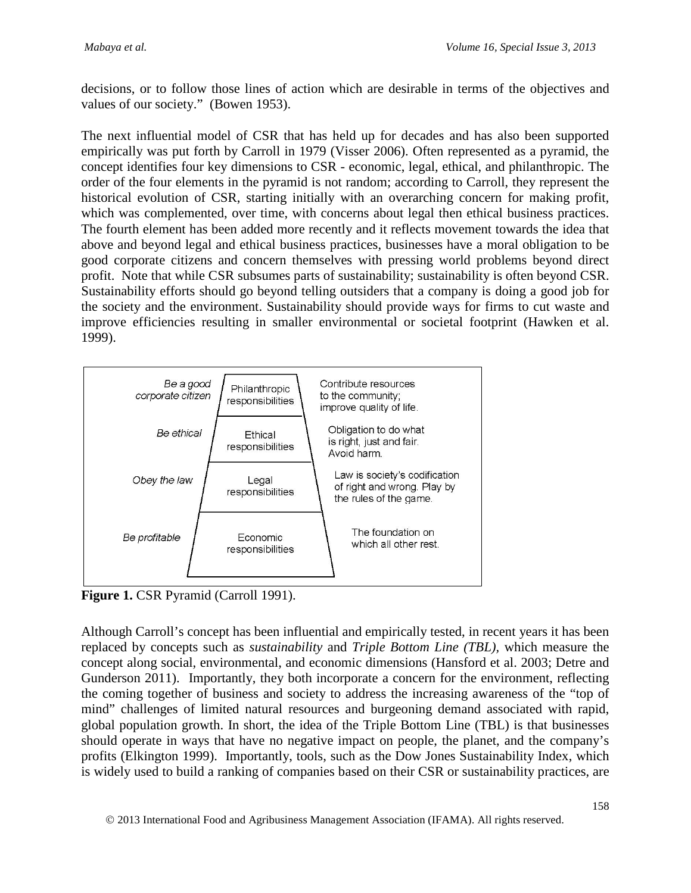decisions, or to follow those lines of action which are desirable in terms of the objectives and values of our society." (Bowen 1953).

The next influential model of CSR that has held up for decades and has also been supported empirically was put forth by Carroll in 1979 (Visser 2006). Often represented as a pyramid, the concept identifies four key dimensions to CSR - economic, legal, ethical, and philanthropic. The order of the four elements in the pyramid is not random; according to Carroll, they represent the historical evolution of CSR, starting initially with an overarching concern for making profit, which was complemented, over time, with concerns about legal then ethical business practices. The fourth element has been added more recently and it reflects movement towards the idea that above and beyond legal and ethical business practices, businesses have a moral obligation to be good corporate citizens and concern themselves with pressing world problems beyond direct profit. Note that while CSR subsumes parts of sustainability; sustainability is often beyond CSR. Sustainability efforts should go beyond telling outsiders that a company is doing a good job for the society and the environment. Sustainability should provide ways for firms to cut waste and improve efficiencies resulting in smaller environmental or societal footprint (Hawken et al. 1999).



**Figure 1.** CSR Pyramid (Carroll 1991).

Although Carroll's concept has been influential and empirically tested, in recent years it has been replaced by concepts such as *sustainability* and *Triple Bottom Line (TBL),* which measure the concept along social, environmental, and economic dimensions (Hansford et al. 2003; Detre and Gunderson 2011). Importantly, they both incorporate a concern for the environment, reflecting the coming together of business and society to address the increasing awareness of the "top of mind" challenges of limited natural resources and burgeoning demand associated with rapid, global population growth. In short, the idea of the Triple Bottom Line (TBL) is that businesses should operate in ways that have no negative impact on people, the planet, and the company's profits (Elkington 1999). Importantly, tools, such as the Dow Jones Sustainability Index, which is widely used to build a ranking of companies based on their CSR or sustainability practices, are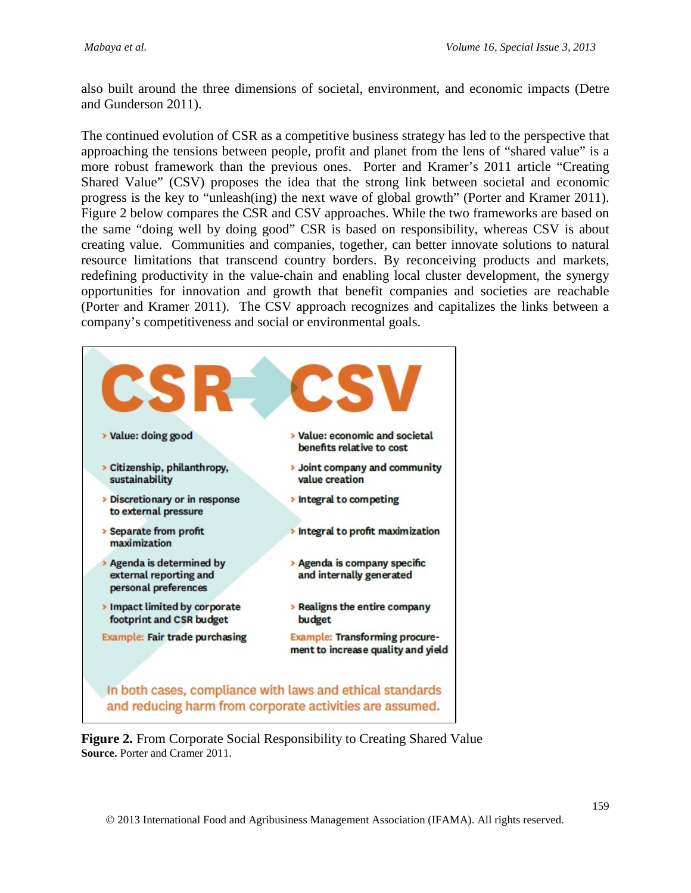also built around the three dimensions of societal, environment, and economic impacts (Detre and Gunderson 2011).

The continued evolution of CSR as a competitive business strategy has led to the perspective that approaching the tensions between people, profit and planet from the lens of "shared value" is a more robust framework than the previous ones. Porter and Kramer's 2011 article "Creating Shared Value" (CSV) proposes the idea that the strong link between societal and economic progress is the key to "unleash(ing) the next wave of global growth" (Porter and Kramer 2011). Figure 2 below compares the CSR and CSV approaches. While the two frameworks are based on the same "doing well by doing good" CSR is based on responsibility, whereas CSV is about creating value. Communities and companies, together, can better innovate solutions to natural resource limitations that transcend country borders. By reconceiving products and markets, redefining productivity in the value-chain and enabling local cluster development, the synergy opportunities for innovation and growth that benefit companies and societies are reachable (Porter and Kramer 2011). The CSV approach recognizes and capitalizes the links between a company's competitiveness and social or environmental goals.



**Figure 2.** From Corporate Social Responsibility to Creating Shared Value **Source.** Porter and Cramer 2011.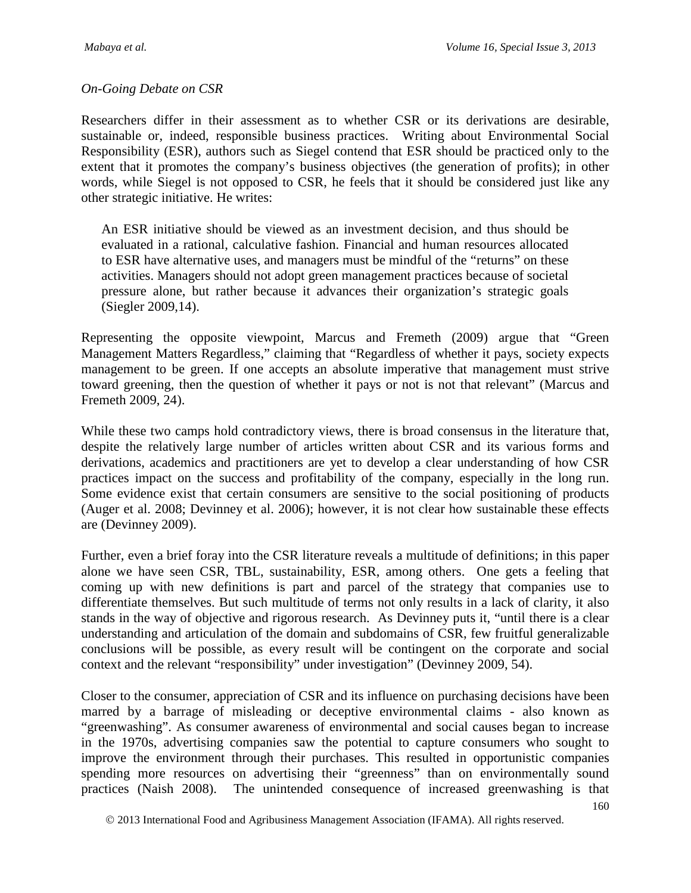#### *On-Going Debate on CSR*

Researchers differ in their assessment as to whether CSR or its derivations are desirable, sustainable or, indeed, responsible business practices. Writing about Environmental Social Responsibility (ESR), authors such as Siegel contend that ESR should be practiced only to the extent that it promotes the company's business objectives (the generation of profits); in other words, while Siegel is not opposed to CSR, he feels that it should be considered just like any other strategic initiative. He writes:

An ESR initiative should be viewed as an investment decision, and thus should be evaluated in a rational, calculative fashion. Financial and human resources allocated to ESR have alternative uses, and managers must be mindful of the "returns" on these activities. Managers should not adopt green management practices because of societal pressure alone, but rather because it advances their organization's strategic goals (Siegler 2009,14).

Representing the opposite viewpoint, Marcus and Fremeth (2009) argue that "Green Management Matters Regardless," claiming that "Regardless of whether it pays, society expects management to be green. If one accepts an absolute imperative that management must strive toward greening, then the question of whether it pays or not is not that relevant" (Marcus and Fremeth 2009, 24).

While these two camps hold contradictory views, there is broad consensus in the literature that, despite the relatively large number of articles written about CSR and its various forms and derivations, academics and practitioners are yet to develop a clear understanding of how CSR practices impact on the success and profitability of the company, especially in the long run. Some evidence exist that certain consumers are sensitive to the social positioning of products (Auger et al. 2008; Devinney et al. 2006); however, it is not clear how sustainable these effects are (Devinney 2009).

Further, even a brief foray into the CSR literature reveals a multitude of definitions; in this paper alone we have seen CSR, TBL, sustainability, ESR, among others. One gets a feeling that coming up with new definitions is part and parcel of the strategy that companies use to differentiate themselves. But such multitude of terms not only results in a lack of clarity, it also stands in the way of objective and rigorous research. As Devinney puts it, "until there is a clear understanding and articulation of the domain and subdomains of CSR, few fruitful generalizable conclusions will be possible, as every result will be contingent on the corporate and social context and the relevant "responsibility" under investigation" (Devinney 2009, 54).

Closer to the consumer, appreciation of CSR and its influence on purchasing decisions have been marred by a barrage of misleading or deceptive environmental claims - also known as "greenwashing". As consumer awareness of environmental and social causes began to increase in the 1970s, advertising companies saw the potential to capture consumers who sought to improve the environment through their purchases. This resulted in opportunistic companies spending more resources on advertising their "greenness" than on environmentally sound practices (Naish 2008). The unintended consequence of increased greenwashing is that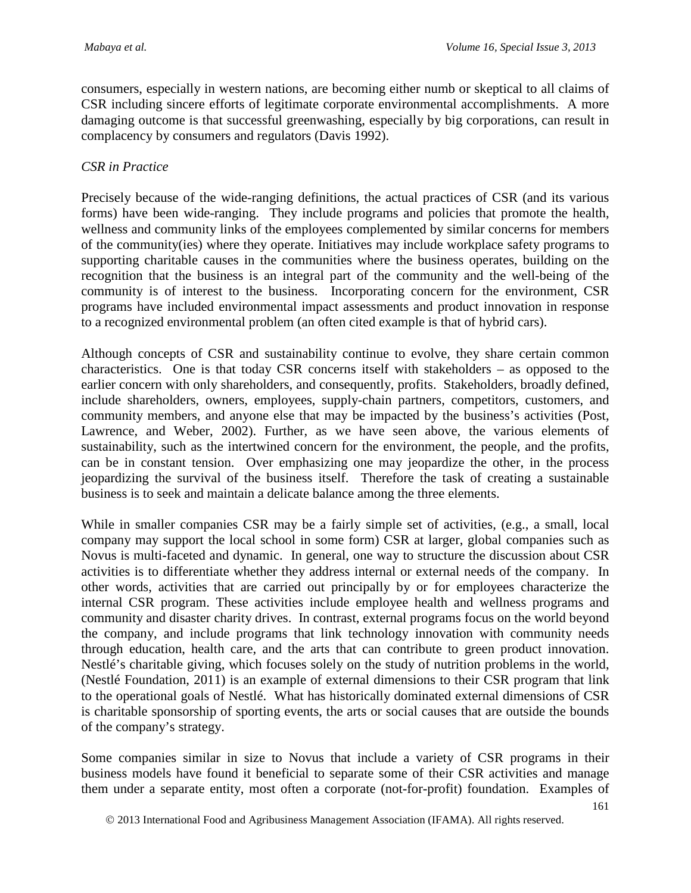consumers, especially in western nations, are becoming either numb or skeptical to all claims of CSR including sincere efforts of legitimate corporate environmental accomplishments. A more damaging outcome is that successful greenwashing, especially by big corporations, can result in complacency by consumers and regulators (Davis 1992).

### *CSR in Practice*

Precisely because of the wide-ranging definitions, the actual practices of CSR (and its various forms) have been wide-ranging. They include programs and policies that promote the health, wellness and community links of the employees complemented by similar concerns for members of the community(ies) where they operate. Initiatives may include workplace safety programs to supporting charitable causes in the communities where the business operates, building on the recognition that the business is an integral part of the community and the well-being of the community is of interest to the business. Incorporating concern for the environment, CSR programs have included environmental impact assessments and product innovation in response to a recognized environmental problem (an often cited example is that of hybrid cars).

Although concepts of CSR and sustainability continue to evolve, they share certain common characteristics. One is that today CSR concerns itself with stakeholders – as opposed to the earlier concern with only shareholders, and consequently, profits. Stakeholders, broadly defined, include shareholders, owners, employees, supply-chain partners, competitors, customers, and community members, and anyone else that may be impacted by the business's activities (Post, Lawrence, and Weber, 2002). Further, as we have seen above, the various elements of sustainability, such as the intertwined concern for the environment, the people, and the profits, can be in constant tension. Over emphasizing one may jeopardize the other, in the process jeopardizing the survival of the business itself. Therefore the task of creating a sustainable business is to seek and maintain a delicate balance among the three elements.

While in smaller companies CSR may be a fairly simple set of activities, (e.g., a small, local company may support the local school in some form) CSR at larger, global companies such as Novus is multi-faceted and dynamic. In general, one way to structure the discussion about CSR activities is to differentiate whether they address internal or external needs of the company. In other words, activities that are carried out principally by or for employees characterize the internal CSR program. These activities include employee health and wellness programs and community and disaster charity drives. In contrast, external programs focus on the world beyond the company, and include programs that link technology innovation with community needs through education, health care, and the arts that can contribute to green product innovation. Nestlé's charitable giving, which focuses solely on the study of nutrition problems in the world, (Nestlé Foundation, 2011) is an example of external dimensions to their CSR program that link to the operational goals of Nestlé. What has historically dominated external dimensions of CSR is charitable sponsorship of sporting events, the arts or social causes that are outside the bounds of the company's strategy.

Some companies similar in size to Novus that include a variety of CSR programs in their business models have found it beneficial to separate some of their CSR activities and manage them under a separate entity, most often a corporate (not-for-profit) foundation. Examples of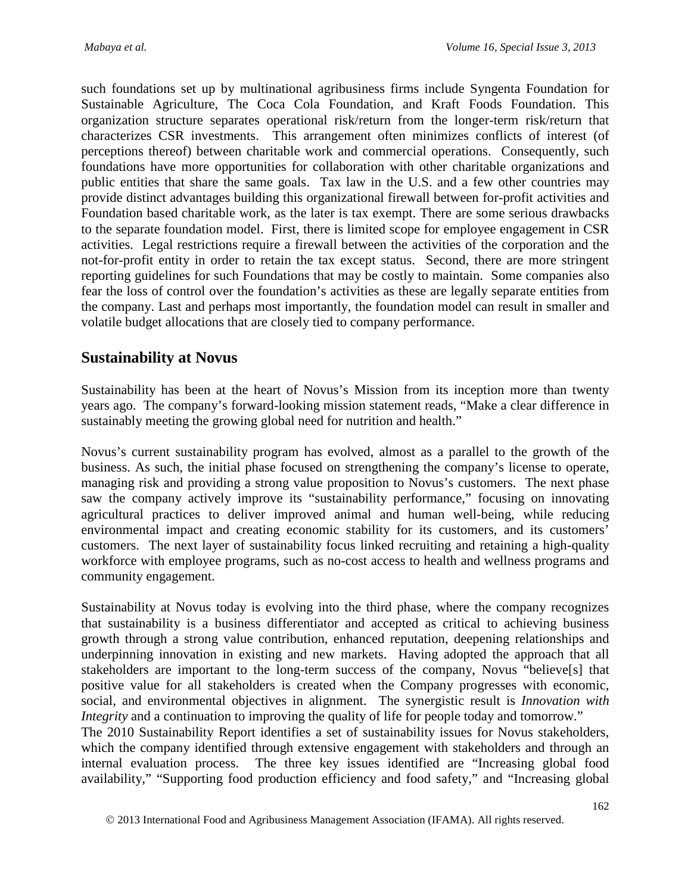such foundations set up by multinational agribusiness firms include Syngenta Foundation for Sustainable Agriculture, The Coca Cola Foundation, and Kraft Foods Foundation. This organization structure separates operational risk/return from the longer-term risk/return that characterizes CSR investments. This arrangement often minimizes conflicts of interest (of perceptions thereof) between charitable work and commercial operations. Consequently, such foundations have more opportunities for collaboration with other charitable organizations and public entities that share the same goals. Tax law in the U.S. and a few other countries may provide distinct advantages building this organizational firewall between for-profit activities and Foundation based charitable work, as the later is tax exempt. There are some serious drawbacks to the separate foundation model. First, there is limited scope for employee engagement in CSR activities. Legal restrictions require a firewall between the activities of the corporation and the not-for-profit entity in order to retain the tax except status. Second, there are more stringent reporting guidelines for such Foundations that may be costly to maintain. Some companies also fear the loss of control over the foundation's activities as these are legally separate entities from the company. Last and perhaps most importantly, the foundation model can result in smaller and volatile budget allocations that are closely tied to company performance.

## **Sustainability at Novus**

Sustainability has been at the heart of Novus's Mission from its inception more than twenty years ago. The company's forward-looking mission statement reads, "Make a clear difference in sustainably meeting the growing global need for nutrition and health."

Novus's current sustainability program has evolved, almost as a parallel to the growth of the business. As such, the initial phase focused on strengthening the company's license to operate, managing risk and providing a strong value proposition to Novus's customers. The next phase saw the company actively improve its "sustainability performance," focusing on innovating agricultural practices to deliver improved animal and human well-being, while reducing environmental impact and creating economic stability for its customers, and its customers' customers. The next layer of sustainability focus linked recruiting and retaining a high-quality workforce with employee programs, such as no-cost access to health and wellness programs and community engagement.

Sustainability at Novus today is evolving into the third phase, where the company recognizes that sustainability is a business differentiator and accepted as critical to achieving business growth through a strong value contribution, enhanced reputation, deepening relationships and underpinning innovation in existing and new markets. Having adopted the approach that all stakeholders are important to the long-term success of the company, Novus "believe[s] that positive value for all stakeholders is created when the Company progresses with economic, social, and environmental objectives in alignment. The synergistic result is *Innovation with Integrity* and a continuation to improving the quality of life for people today and tomorrow."

The 2010 Sustainability Report identifies a set of sustainability issues for Novus stakeholders, which the company identified through extensive engagement with stakeholders and through an internal evaluation process. The three key issues identified are "Increasing global food availability," "Supporting food production efficiency and food safety," and "Increasing global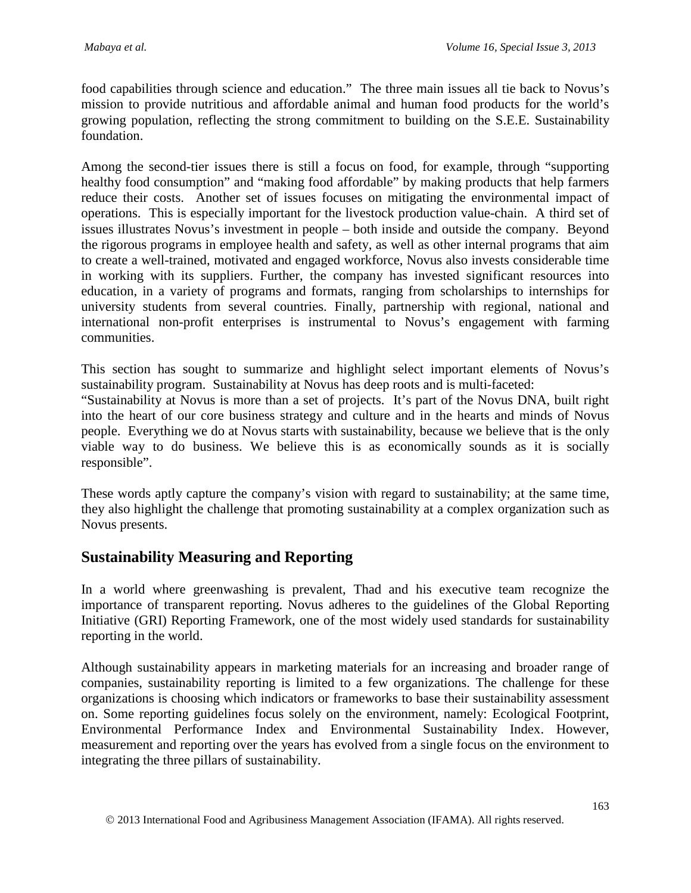food capabilities through science and education." The three main issues all tie back to Novus's mission to provide nutritious and affordable animal and human food products for the world's growing population, reflecting the strong commitment to building on the S.E.E. Sustainability foundation.

Among the second-tier issues there is still a focus on food, for example, through "supporting healthy food consumption" and "making food affordable" by making products that help farmers reduce their costs. Another set of issues focuses on mitigating the environmental impact of operations. This is especially important for the livestock production value-chain. A third set of issues illustrates Novus's investment in people – both inside and outside the company. Beyond the rigorous programs in employee health and safety, as well as other internal programs that aim to create a well-trained, motivated and engaged workforce, Novus also invests considerable time in working with its suppliers. Further, the company has invested significant resources into education, in a variety of programs and formats, ranging from scholarships to internships for university students from several countries. Finally, partnership with regional, national and international non-profit enterprises is instrumental to Novus's engagement with farming communities.

This section has sought to summarize and highlight select important elements of Novus's sustainability program. Sustainability at Novus has deep roots and is multi-faceted:

"Sustainability at Novus is more than a set of projects. It's part of the Novus DNA, built right into the heart of our core business strategy and culture and in the hearts and minds of Novus people. Everything we do at Novus starts with sustainability, because we believe that is the only viable way to do business. We believe this is as economically sounds as it is socially responsible".

These words aptly capture the company's vision with regard to sustainability; at the same time, they also highlight the challenge that promoting sustainability at a complex organization such as Novus presents.

# **Sustainability Measuring and Reporting**

In a world where greenwashing is prevalent, Thad and his executive team recognize the importance of transparent reporting. Novus adheres to the guidelines of the Global Reporting Initiative (GRI) Reporting Framework, one of the most widely used standards for sustainability reporting in the world.

Although sustainability appears in marketing materials for an increasing and broader range of companies, sustainability reporting is limited to a few organizations. The challenge for these organizations is choosing which indicators or frameworks to base their sustainability assessment on. Some reporting guidelines focus solely on the environment, namely: Ecological Footprint, Environmental Performance Index and Environmental Sustainability Index. However, measurement and reporting over the years has evolved from a single focus on the environment to integrating the three pillars of sustainability.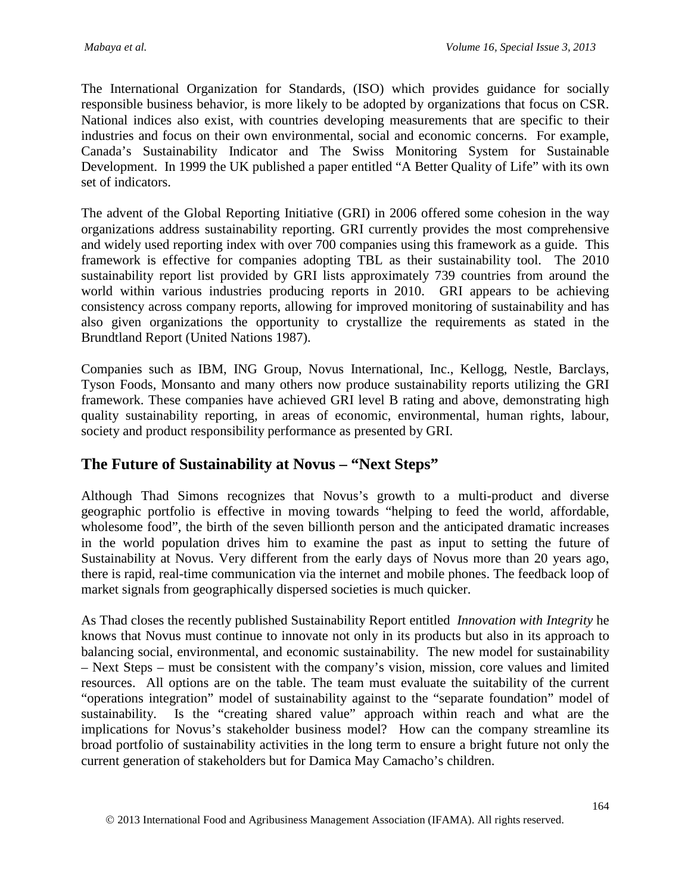The International Organization for Standards, (ISO) which provides guidance for socially responsible business behavior, is more likely to be adopted by organizations that focus on CSR. National indices also exist, with countries developing measurements that are specific to their industries and focus on their own environmental, social and economic concerns. For example, Canada's Sustainability Indicator and The Swiss Monitoring System for Sustainable Development. In 1999 the UK published a paper entitled "A Better Quality of Life" with its own set of indicators.

The advent of the Global Reporting Initiative (GRI) in 2006 offered some cohesion in the way organizations address sustainability reporting. GRI currently provides the most comprehensive and widely used reporting index with over 700 companies using this framework as a guide. This framework is effective for companies adopting TBL as their sustainability tool. The 2010 sustainability report list provided by GRI lists approximately 739 countries from around the world within various industries producing reports in 2010. GRI appears to be achieving consistency across company reports, allowing for improved monitoring of sustainability and has also given organizations the opportunity to crystallize the requirements as stated in the Brundtland Report (United Nations 1987).

Companies such as IBM, ING Group, Novus International, Inc., Kellogg, Nestle, Barclays, Tyson Foods, Monsanto and many others now produce sustainability reports utilizing the GRI framework. These companies have achieved GRI level B rating and above, demonstrating high quality sustainability reporting, in areas of economic, environmental, human rights, labour, society and product responsibility performance as presented by GRI.

# **The Future of Sustainability at Novus – "Next Steps"**

Although Thad Simons recognizes that Novus's growth to a multi-product and diverse geographic portfolio is effective in moving towards "helping to feed the world, affordable, wholesome food", the birth of the seven billionth person and the anticipated dramatic increases in the world population drives him to examine the past as input to setting the future of Sustainability at Novus. Very different from the early days of Novus more than 20 years ago, there is rapid, real-time communication via the internet and mobile phones. The feedback loop of market signals from geographically dispersed societies is much quicker.

As Thad closes the recently published Sustainability Report entitled *Innovation with Integrity* he knows that Novus must continue to innovate not only in its products but also in its approach to balancing social, environmental, and economic sustainability. The new model for sustainability – Next Steps – must be consistent with the company's vision, mission, core values and limited resources. All options are on the table. The team must evaluate the suitability of the current "operations integration" model of sustainability against to the "separate foundation" model of sustainability. Is the "creating shared value" approach within reach and what are the implications for Novus's stakeholder business model? How can the company streamline its broad portfolio of sustainability activities in the long term to ensure a bright future not only the current generation of stakeholders but for Damica May Camacho's children.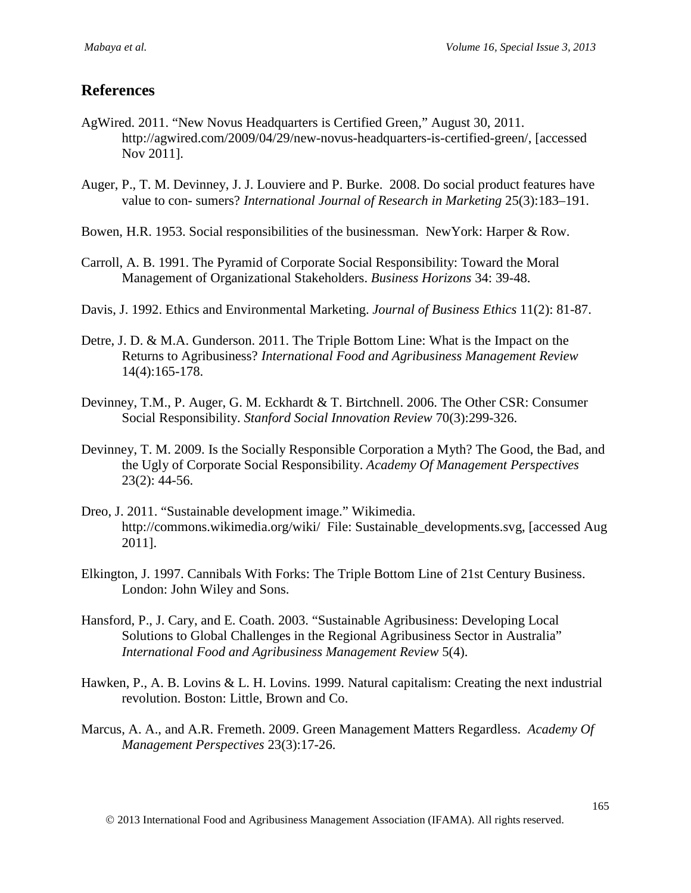## **References**

- AgWired. 2011. "New Novus Headquarters is Certified Green," August 30, 2011. http://agwired.com/2009/04/29/new-novus-headquarters-is-certified-green/, [accessed Nov 2011].
- Auger, P., T. M. Devinney, J. J. Louviere and P. Burke. 2008. Do social product features have value to con- sumers? *International Journal of Research in Marketing* 25(3):183–191.
- Bowen, H.R. 1953. Social responsibilities of the businessman. NewYork: Harper & Row.
- Carroll, A. B. 1991. The Pyramid of Corporate Social Responsibility: Toward the Moral Management of Organizational Stakeholders. *Business Horizons* 34: 39-48.
- Davis, J. 1992. Ethics and Environmental Marketing. *Journal of Business Ethics* 11(2): 81-87.
- Detre, J. D. & M.A. Gunderson. 2011. The Triple Bottom Line: What is the Impact on the Returns to Agribusiness? *International Food and Agribusiness Management Review* 14(4):165-178.
- Devinney, T.M., P. Auger, G. M. Eckhardt & T. Birtchnell. 2006. The Other CSR: Consumer Social Responsibility. *Stanford Social Innovation Review* 70(3):299-326.
- Devinney, T. M. 2009. Is the Socially Responsible Corporation a Myth? The Good, the Bad, and the Ugly of Corporate Social Responsibility. *Academy Of Management Perspectives* 23(2): 44-56.
- Dreo, J. 2011. "Sustainable development image." Wikimedia. http://commons.wikimedia.org/wiki/ File: Sustainable\_developments.svg, [accessed Aug 2011].
- Elkington, J. 1997. Cannibals With Forks: The Triple Bottom Line of 21st Century Business. London: John Wiley and Sons.
- Hansford, P., J. Cary, and E. Coath. 2003. "Sustainable Agribusiness: Developing Local Solutions to Global Challenges in the Regional Agribusiness Sector in Australia" *International Food and Agribusiness Management Review* 5(4).
- Hawken, P., A. B. Lovins & L. H. Lovins. 1999. Natural capitalism: Creating the next industrial revolution. Boston: Little, Brown and Co.
- Marcus, A. A., and A.R. Fremeth. 2009. Green Management Matters Regardless. *Academy Of Management Perspectives* 23(3):17-26.